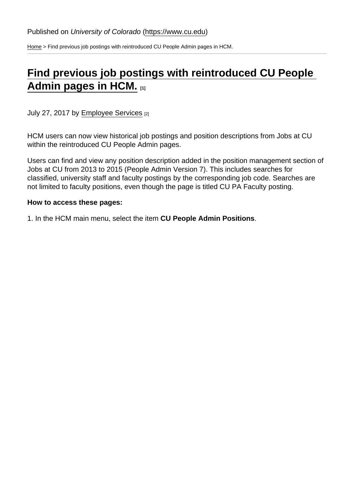[Home](https://www.cu.edu/) > Find previous job postings with reintroduced CU People Admin pages in HCM.

## [Find previous job postings with reintroduced CU People](https://www.cu.edu/blog/hcm-community/find-previous-job-postings-reintroduced-cu-people-admin-pages-hcm)  [Admin pages in HCM.](https://www.cu.edu/blog/hcm-community/find-previous-job-postings-reintroduced-cu-people-admin-pages-hcm)  $_{[1]}$

July 27, 2017 by [Employee Services](https://www.cu.edu/blog/hcm-community/author/9230) [2]

HCM users can now view historical job postings and position descriptions from Jobs at CU within the reintroduced CU People Admin pages.

Users can find and view any position description added in the position management section of Jobs at CU from 2013 to 2015 (People Admin Version 7). This includes searches for classified, university staff and faculty postings by the corresponding job code. Searches are not limited to faculty positions, even though the page is titled CU PA Faculty posting.

How to access these pages:

1. In the HCM main menu, select the item CU People Admin Positions .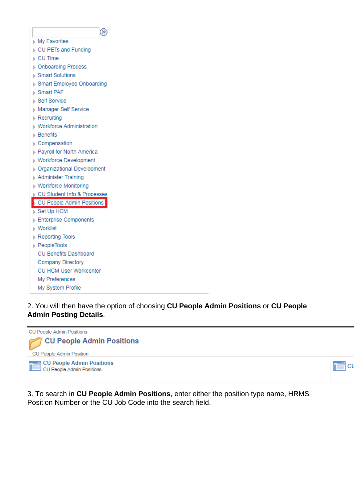

2. You will then have the option of choosing **CU People Admin Positions** or **CU People Admin Posting Details**.



3. To search in **CU People Admin Positions**, enter either the position type name, HRMS Position Number or the CU Job Code into the search field.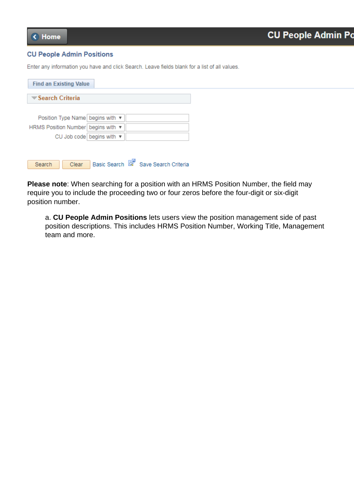## **CU People Admin Positions**

Enter any information you have and click Search. Leave fields blank for a list of all values.

| <b>Find an Existing Value</b>                  |  |
|------------------------------------------------|--|
| $\blacktriangledown$ Search Criteria           |  |
|                                                |  |
| Position Type Name begins with ▼               |  |
| HRMS Position Number begins with ▼             |  |
| CU Job code begins with ▼                      |  |
|                                                |  |
| Save Search Criteria<br>Basic Search<br>Search |  |
| Clear                                          |  |

**Please note**: When searching for a position with an HRMS Position Number, the field may require you to include the proceeding two or four zeros before the four-digit or six-digit position number.

a. **CU People Admin Positions** lets users view the position management side of past position descriptions. This includes HRMS Position Number, Working Title, Management team and more.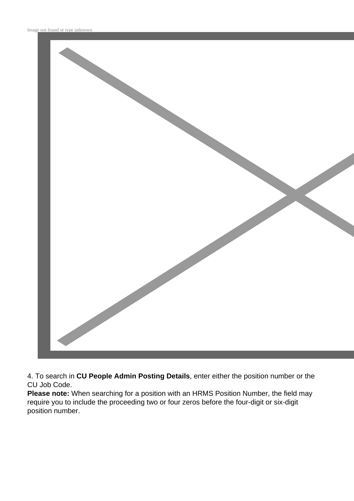

4. To search in **CU People Admin Posting Details**, enter either the position number or the CU Job Code.

**Please note:** When searching for a position with an HRMS Position Number, the field may require you to include the proceeding two or four zeros before the four-digit or six-digit position number.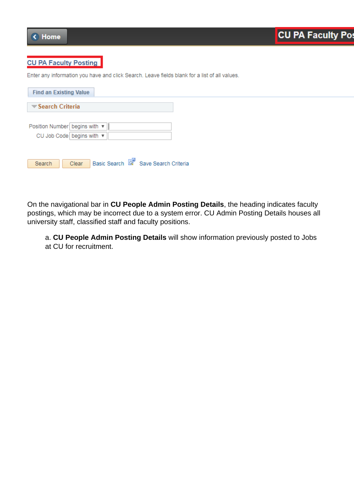

## **CU PA Faculty Posting**

Enter any information you have and click Search. Leave fields blank for a list of all values.

| <b>Find an Existing Value</b>                                     |
|-------------------------------------------------------------------|
| Search Criteria                                                   |
| Position Number begins with ▼   <br>CU Job Code begins with ▼     |
| Basic Search <b>&amp;</b> Save Search Criteria<br>Clear<br>Search |

On the navigational bar in **CU People Admin Posting Details**, the heading indicates faculty postings, which may be incorrect due to a system error. CU Admin Posting Details houses all university staff, classified staff and faculty positions.

a. **CU People Admin Posting Details** will show information previously posted to Jobs at CU for recruitment.